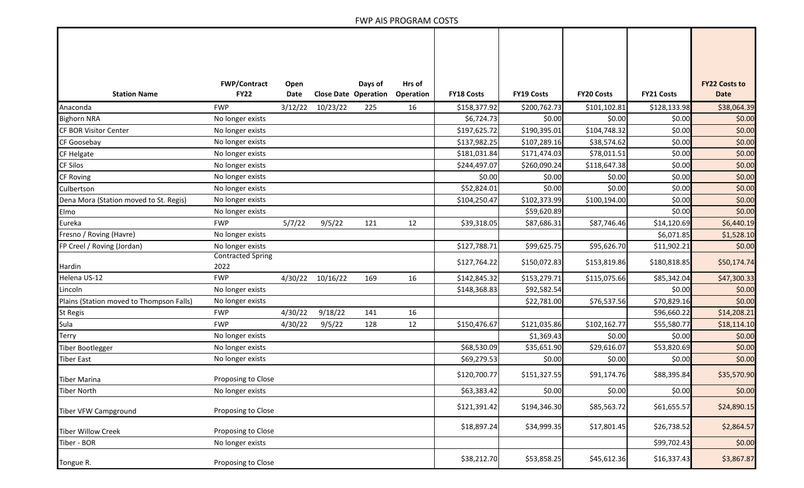## FWP AIS PROGRAM COSTS

|                                          | <b>FWP/Contract</b>              | Open        |          | Days of                     | Hrs of    |                   |                   |                   |                   | <b>FY22 Costs to</b> |
|------------------------------------------|----------------------------------|-------------|----------|-----------------------------|-----------|-------------------|-------------------|-------------------|-------------------|----------------------|
| <b>Station Name</b>                      | <b>FY22</b>                      | <b>Date</b> |          | <b>Close Date Operation</b> | Operation | <b>FY18 Costs</b> | <b>FY19 Costs</b> | <b>FY20 Costs</b> | <b>FY21 Costs</b> | <b>Date</b>          |
| Anaconda                                 | <b>FWP</b>                       | 3/12/22     | 10/23/22 | 225                         | 16        | \$158,377.92      | \$200,762.73      | \$101,102.81      | \$128,133.98      | \$38,064.39          |
| <b>Bighorn NRA</b>                       | No longer exists                 |             |          |                             |           | \$6,724.73        | \$0.00            | \$0.00            | \$0.00            | \$0.00               |
| CF BOR Visitor Center                    | No longer exists                 |             |          |                             |           | \$197,625.72      | \$190,395.01      | \$104,748.32      | \$0.00            | \$0.00               |
| CF Goosebay                              | No longer exists                 |             |          |                             |           | \$137,982.25      | \$107,289.16      | \$38,574.62       | \$0.00            | \$0.00               |
| <b>CF Helgate</b>                        | No longer exists                 |             |          |                             |           | \$181,031.84      | \$171,474.03      | \$78,011.51       | \$0.00            | \$0.00               |
| <b>CF Silos</b>                          | No longer exists                 |             |          |                             |           | \$244,497.07      | \$260,090.24      | \$118,647.38      | \$0.00            | \$0.00               |
| <b>CF Roving</b>                         | No longer exists                 |             |          |                             |           | \$0.00            | \$0.00            | \$0.00            | \$0.00            | \$0.00               |
| Culbertson                               | No longer exists                 |             |          |                             |           | \$52,824.01       | \$0.00            | \$0.00            | \$0.00            | \$0.00               |
| Dena Mora (Station moved to St. Regis)   | No longer exists                 |             |          |                             |           | \$104,250.47      | \$102,373.99      | \$100,194.00      | \$0.00            | \$0.00               |
| Elmo                                     | No longer exists                 |             |          |                             |           |                   | \$59,620.89       |                   | \$0.00            | \$0.00               |
| Eureka                                   | <b>FWP</b>                       | 5/7/22      | 9/5/22   | 121                         | 12        | \$39,318.05       | \$87,686.31       | \$87,746.46       | \$14,120.69       | \$6,440.19           |
| Fresno / Roving (Havre)                  | No longer exists                 |             |          |                             |           |                   |                   |                   | \$6,071.85        | \$1,528.10           |
| FP Creel / Roving (Jordan)               | No longer exists                 |             |          |                             |           | \$127,788.71      | \$99,625.75       | \$95,626.70       | \$11,902.21       | \$0.00               |
| Hardin                                   | <b>Contracted Spring</b><br>2022 |             |          |                             |           | \$127,764.22      | \$150,072.83      | \$153,819.86      | \$180,818.85      | \$50,174.74          |
| Helena US-12                             | <b>FWP</b>                       | 4/30/22     | 10/16/22 | 169                         | 16        | \$142,845.32      | \$153,279.71      | \$115,075.66      | \$85,342.04       | \$47,300.33          |
| Lincoln                                  | No longer exists                 |             |          |                             |           | \$148,368.83      | \$92,582.54       |                   | \$0.00            | \$0.00               |
| Plains (Station moved to Thompson Falls) | No longer exists                 |             |          |                             |           |                   | \$22,781.00       | \$76,537.56       | \$70,829.16       | \$0.00               |
| <b>St Regis</b>                          | <b>FWP</b>                       | 4/30/22     | 9/18/22  | 141                         | 16        |                   |                   |                   | \$96,660.22       | \$14,208.21          |
| Sula                                     | <b>FWP</b>                       | 4/30/22     | 9/5/22   | 128                         | 12        | \$150,476.67      | \$121,035.86      | \$102,162.77      | \$55,580.77       | \$18,114.10          |
| <b>Terry</b>                             | No longer exists                 |             |          |                             |           |                   | \$1,369.43        | \$0.00            | \$0.00            | \$0.00               |
| <b>Tiber Bootlegger</b>                  | No longer exists                 |             |          |                             |           | \$68,530.09       | \$35,651.90       | \$29,616.07       | \$53,820.69       | \$0.00               |
| <b>Tiber East</b>                        | No longer exists                 |             |          |                             |           | \$69,279.53       | \$0.00            | \$0.00            | \$0.00            | \$0.00               |
| <b>Tiber Marina</b>                      | Proposing to Close               |             |          |                             |           | \$120,700.77      | \$151,327.55      | \$91,174.76       | \$88,395.84       | \$35,570.90          |
| <b>Tiber North</b>                       | No longer exists                 |             |          |                             |           | \$63,383.42       | \$0.00            | \$0.00            | \$0.00            | \$0.00               |
| <b>Tiber VFW Campground</b>              | Proposing to Close               |             |          |                             |           | \$121,391.42      | \$194,346.30      | \$85,563.72       | \$61,655.57       | \$24,890.15          |
| <b>Tiber Willow Creek</b>                | Proposing to Close               |             |          |                             |           | \$18,897.24       | \$34,999.35       | \$17,801.45       | \$26,738.52       | \$2,864.57           |
| Tiber - BOR                              | No longer exists                 |             |          |                             |           |                   |                   |                   | \$99,702.43       | \$0.00               |
| Tongue R.                                | Proposing to Close               |             |          |                             |           | \$38,212.70       | \$53,858.25       | \$45,612.36       | \$16,337.43       | \$3,867.87           |